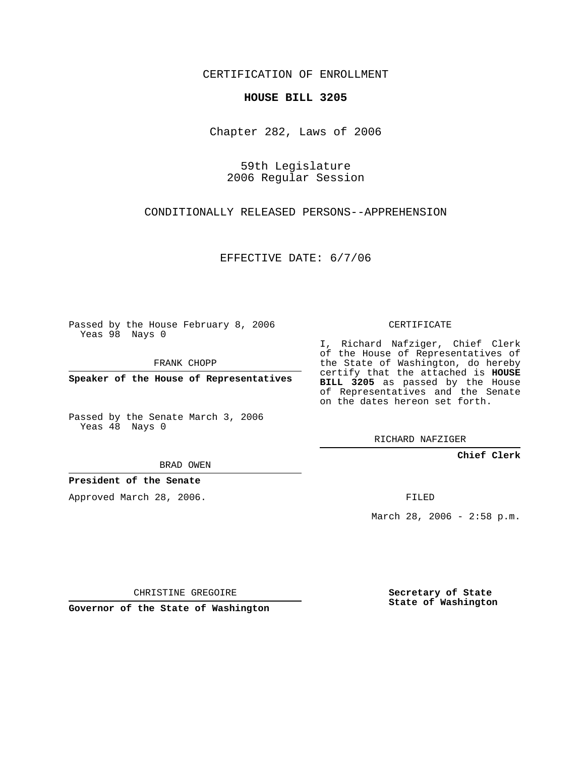CERTIFICATION OF ENROLLMENT

## **HOUSE BILL 3205**

Chapter 282, Laws of 2006

59th Legislature 2006 Regular Session

CONDITIONALLY RELEASED PERSONS--APPREHENSION

EFFECTIVE DATE: 6/7/06

Passed by the House February 8, 2006 Yeas 98 Nays 0

FRANK CHOPP

**Speaker of the House of Representatives**

Passed by the Senate March 3, 2006 Yeas 48 Nays 0

I, Richard Nafziger, Chief Clerk of the House of Representatives of the State of Washington, do hereby certify that the attached is **HOUSE BILL 3205** as passed by the House of Representatives and the Senate on the dates hereon set forth.

CERTIFICATE

RICHARD NAFZIGER

**Chief Clerk**

BRAD OWEN

**President of the Senate**

Approved March 28, 2006.

FILED

March 28, 2006 - 2:58 p.m.

CHRISTINE GREGOIRE

**Governor of the State of Washington**

**Secretary of State State of Washington**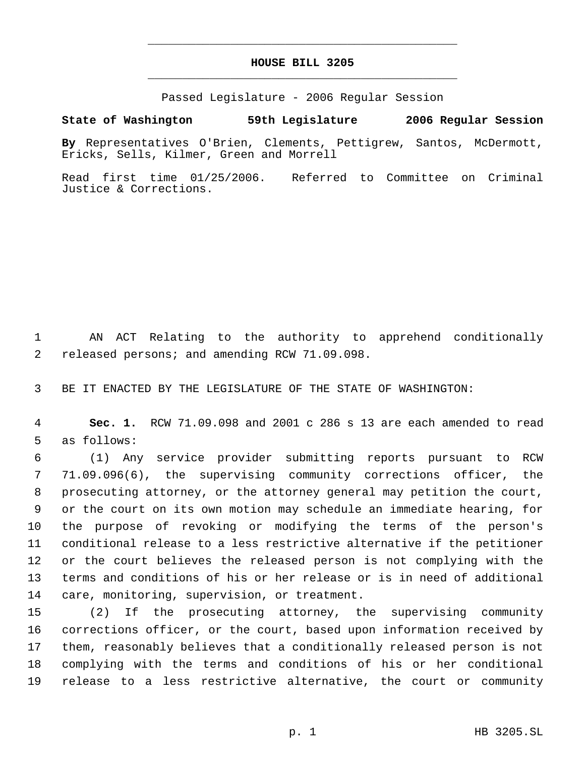## **HOUSE BILL 3205** \_\_\_\_\_\_\_\_\_\_\_\_\_\_\_\_\_\_\_\_\_\_\_\_\_\_\_\_\_\_\_\_\_\_\_\_\_\_\_\_\_\_\_\_\_

\_\_\_\_\_\_\_\_\_\_\_\_\_\_\_\_\_\_\_\_\_\_\_\_\_\_\_\_\_\_\_\_\_\_\_\_\_\_\_\_\_\_\_\_\_

Passed Legislature - 2006 Regular Session

## **State of Washington 59th Legislature 2006 Regular Session**

**By** Representatives O'Brien, Clements, Pettigrew, Santos, McDermott, Ericks, Sells, Kilmer, Green and Morrell

Read first time 01/25/2006. Referred to Committee on Criminal Justice & Corrections.

 AN ACT Relating to the authority to apprehend conditionally released persons; and amending RCW 71.09.098.

BE IT ENACTED BY THE LEGISLATURE OF THE STATE OF WASHINGTON:

 **Sec. 1.** RCW 71.09.098 and 2001 c 286 s 13 are each amended to read as follows:

 (1) Any service provider submitting reports pursuant to RCW 71.09.096(6), the supervising community corrections officer, the prosecuting attorney, or the attorney general may petition the court, or the court on its own motion may schedule an immediate hearing, for the purpose of revoking or modifying the terms of the person's conditional release to a less restrictive alternative if the petitioner or the court believes the released person is not complying with the terms and conditions of his or her release or is in need of additional care, monitoring, supervision, or treatment.

 (2) If the prosecuting attorney, the supervising community corrections officer, or the court, based upon information received by them, reasonably believes that a conditionally released person is not complying with the terms and conditions of his or her conditional release to a less restrictive alternative, the court or community